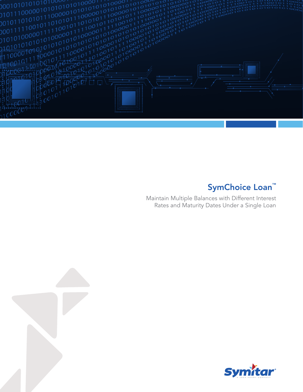

# SymChoice Loan<sup>™</sup>

Maintain Multiple Balances with Different Interest Rates and Maturity Dates Under a Single Loan